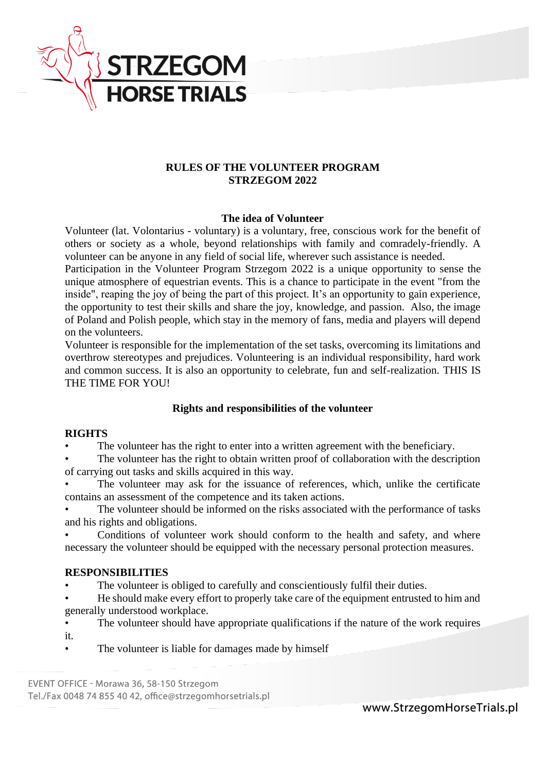

### **RULES OF THE VOLUNTEER PROGRAM STRZEGOM 2022**

### **The idea of Volunteer**

Volunteer (lat. Volontarius - voluntary) is a voluntary, free, conscious work for the benefit of others or society as a whole, beyond relationships with family and comradely-friendly. A volunteer can be anyone in any field of social life, wherever such assistance is needed.

Participation in the Volunteer Program Strzegom 2022 is a unique opportunity to sense the unique atmosphere of equestrian events. This is a chance to participate in the event "from the inside", reaping the joy of being the part of this project. It's an opportunity to gain experience, the opportunity to test their skills and share the joy, knowledge, and passion. Also, the image of Poland and Polish people, which stay in the memory of fans, media and players will depend on the volunteers.

Volunteer is responsible for the implementation of the set tasks, overcoming its limitations and overthrow stereotypes and prejudices. Volunteering is an individual responsibility, hard work and common success. It is also an opportunity to celebrate, fun and self-realization. THIS IS THE TIME FOR YOU!

### **Rights and responsibilities of the volunteer**

#### **RIGHTS**

The volunteer has the right to enter into a written agreement with the beneficiary.

The volunteer has the right to obtain written proof of collaboration with the description of carrying out tasks and skills acquired in this way.

The volunteer may ask for the issuance of references, which, unlike the certificate contains an assessment of the competence and its taken actions.

The volunteer should be informed on the risks associated with the performance of tasks and his rights and obligations.

Conditions of volunteer work should conform to the health and safety, and where necessary the volunteer should be equipped with the necessary personal protection measures.

### **RESPONSIBILITIES**

The volunteer is obliged to carefully and conscientiously fulfil their duties.

• He should make every effort to properly take care of the equipment entrusted to him and generally understood workplace.

• The volunteer should have appropriate qualifications if the nature of the work requires it.

The volunteer is liable for damages made by himself

EVENT OFFICE - Morawa 36, 58-150 Strzegom Tel./Fax 0048 74 855 40 42, office@strzegomhorsetrials.pl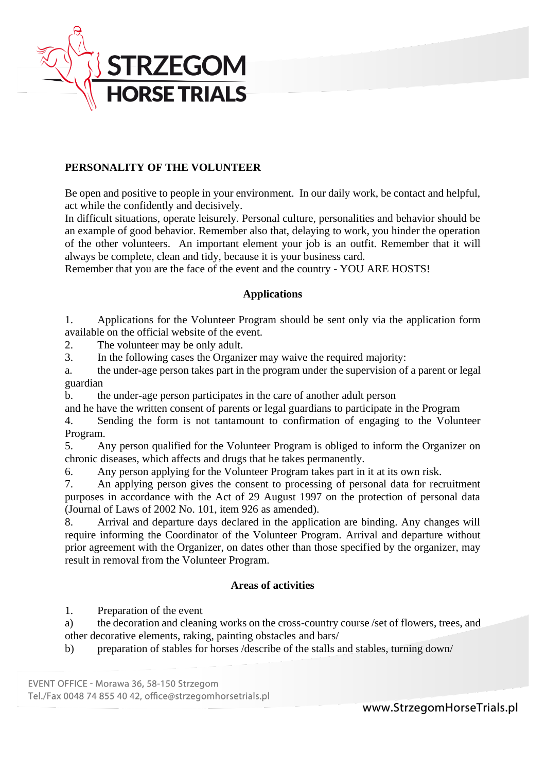

# **PERSONALITY OF THE VOLUNTEER**

Be open and positive to people in your environment. In our daily work, be contact and helpful, act while the confidently and decisively.

In difficult situations, operate leisurely. Personal culture, personalities and behavior should be an example of good behavior. Remember also that, delaying to work, you hinder the operation of the other volunteers. An important element your job is an outfit. Remember that it will always be complete, clean and tidy, because it is your business card.

Remember that you are the face of the event and the country - YOU ARE HOSTS!

### **Applications**

1. Applications for the Volunteer Program should be sent only via the application form available on the official website of the event.

2. The volunteer may be only adult.

3. In the following cases the Organizer may waive the required majority:

a. the under-age person takes part in the program under the supervision of a parent or legal guardian

b. the under-age person participates in the care of another adult person

and he have the written consent of parents or legal guardians to participate in the Program

4. Sending the form is not tantamount to confirmation of engaging to the Volunteer Program.

5. Any person qualified for the Volunteer Program is obliged to inform the Organizer on chronic diseases, which affects and drugs that he takes permanently.

6. Any person applying for the Volunteer Program takes part in it at its own risk.

7. An applying person gives the consent to processing of personal data for recruitment purposes in accordance with the Act of 29 August 1997 on the protection of personal data (Journal of Laws of 2002 No. 101, item 926 as amended).

8. Arrival and departure days declared in the application are binding. Any changes will require informing the Coordinator of the Volunteer Program. Arrival and departure without prior agreement with the Organizer, on dates other than those specified by the organizer, may result in removal from the Volunteer Program.

# **Areas of activities**

1. Preparation of the event

a) the decoration and cleaning works on the cross-country course /set of flowers, trees, and other decorative elements, raking, painting obstacles and bars/

b) preparation of stables for horses /describe of the stalls and stables, turning down/

Tel./Fax 0048 74 855 40 42, office@strzegomhorsetrials.pl

EVENT OFFICE - Morawa 36, 58-150 Strzegom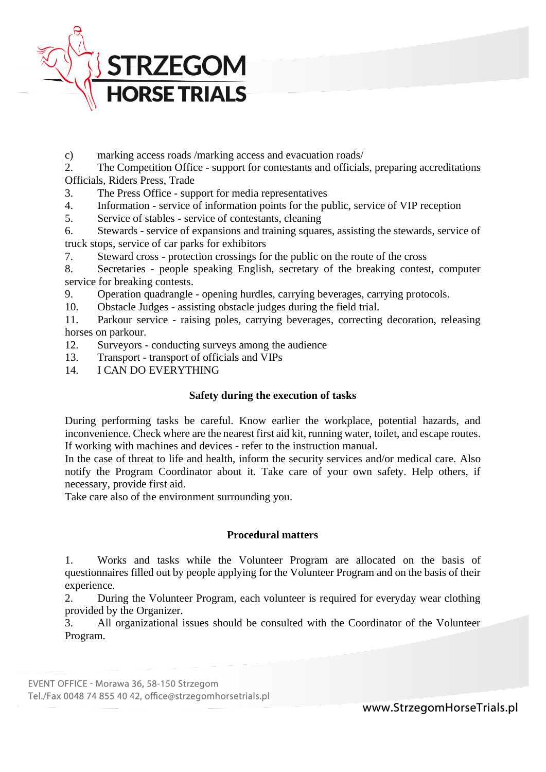

c) marking access roads /marking access and evacuation roads/

2. The Competition Office - support for contestants and officials, preparing accreditations Officials, Riders Press, Trade

- 3. The Press Office support for media representatives
- 4. Information service of information points for the public, service of VIP reception
- 5. Service of stables service of contestants, cleaning

6. Stewards - service of expansions and training squares, assisting the stewards, service of truck stops, service of car parks for exhibitors

7. Steward cross - protection crossings for the public on the route of the cross

8. Secretaries - people speaking English, secretary of the breaking contest, computer service for breaking contests.

9. Operation quadrangle - opening hurdles, carrying beverages, carrying protocols.

10. Obstacle Judges - assisting obstacle judges during the field trial.

11. Parkour service - raising poles, carrying beverages, correcting decoration, releasing horses on parkour.

- 12. Surveyors conducting surveys among the audience
- 13. Transport transport of officials and VIPs
- 14. I CAN DO EVERYTHING

### **Safety during the execution of tasks**

During performing tasks be careful. Know earlier the workplace, potential hazards, and inconvenience. Check where are the nearest first aid kit, running water, toilet, and escape routes. If working with machines and devices - refer to the instruction manual.

In the case of threat to life and health, inform the security services and/or medical care. Also notify the Program Coordinator about it. Take care of your own safety. Help others, if necessary, provide first aid.

Take care also of the environment surrounding you.

### **Procedural matters**

1. Works and tasks while the Volunteer Program are allocated on the basis of questionnaires filled out by people applying for the Volunteer Program and on the basis of their experience.

2. During the Volunteer Program, each volunteer is required for everyday wear clothing provided by the Organizer.

3. All organizational issues should be consulted with the Coordinator of the Volunteer Program.